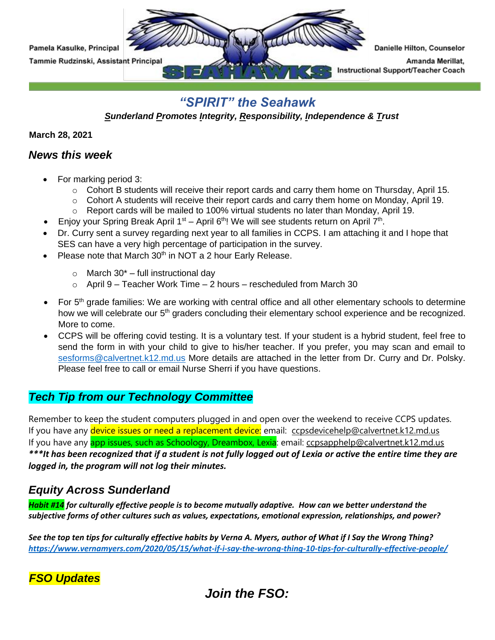

### *"SPIRIT" the Seahawk*

*Sunderland Promotes Integrity, Responsibility, Independence & Trust* 

**March 28, 2021**

#### *News this week*

- For marking period 3:
	- $\circ$  Cohort B students will receive their report cards and carry them home on Thursday, April 15.
	- $\circ$  Cohort A students will receive their report cards and carry them home on Monday, April 19.
	- $\circ$  Report cards will be mailed to 100% virtual students no later than Monday, April 19.
- Enjoy your Spring Break April  $1<sup>st</sup> -$  April 6<sup>th</sup>! We will see students return on April 7<sup>th</sup>.
- Dr. Curry sent a survey regarding next year to all families in CCPS. I am attaching it and I hope that SES can have a very high percentage of participation in the survey.
- Please note that March  $30<sup>th</sup>$  in NOT a 2 hour Early Release.
	- $\circ$  March 30<sup>\*</sup> full instructional day
	- $\circ$  April 9 Teacher Work Time 2 hours rescheduled from March 30
- For 5<sup>th</sup> grade families: We are working with central office and all other elementary schools to determine how we will celebrate our 5<sup>th</sup> graders concluding their elementary school experience and be recognized. More to come.
- CCPS will be offering covid testing. It is a voluntary test. If your student is a hybrid student, feel free to send the form in with your child to give to his/her teacher. If you prefer, you may scan and email to [sesforms@calvertnet.k12.md.us](mailto:sesforms@calvertnet.k12.md.us) More details are attached in the letter from Dr. Curry and Dr. Polsky. Please feel free to call or email Nurse Sherri if you have questions.

### *Tech Tip from our Technology Committee*

Remember to keep the student computers plugged in and open over the weekend to receive CCPS updates. If you have any device issues or need a replacement device: email: [ccpsdevicehelp@calvertnet.k12.md.us](mailto:ccpsdevicehelp@calvertnet.k12.md.us) If you have any **app issues, such as Schoology, Dreambox, Lexia**: email: [ccpsapphelp@calvertnet.k12.md.us](mailto:ccpsapphelp@calvertnet.k12.md.us) *\*\*\*It has been recognized that if a student is not fully logged out of Lexia or active the entire time they are logged in, the program will not log their minutes.*

### *Equity Across Sunderland*

*Habit #14 for culturally effective people is to become mutually adaptive. How can we better understand the subjective forms of other cultures such as values, expectations, emotional expression, relationships, and power?*

*See the top ten tips for culturally effective habits by Verna A. Myers, author of What if I Say the Wrong Thing? [https://www.vernamyers.com/2020/05/15/what-if-i-say-the-wrong-thing-10-tips-for-culturally-effective-people/](https://nam02.safelinks.protection.outlook.com/?url=https%3A%2F%2Fwww.vernamyers.com%2F2020%2F05%2F15%2Fwhat-if-i-say-the-wrong-thing-10-tips-for-culturally-effective-people%2F&data=04%7C01%7CKasulkeP%40calvertnet.k12.md.us%7C1b8f7281f31c48cf5a8108d8bf1fc00f%7C022d9fca60a34aac9a90c18e51ac527e%7C0%7C0%7C637469490369618263%7CUnknown%7CTWFpbGZsb3d8eyJWIjoiMC4wLjAwMDAiLCJQIjoiV2luMzIiLCJBTiI6Ik1haWwiLCJXVCI6Mn0%3D%7C1000&sdata=I%2BTlDgcKF04OZAhQ1Jrclmt7ECqLommx6z6M6ATR2D4%3D&reserved=0)*

### *FSO Updates*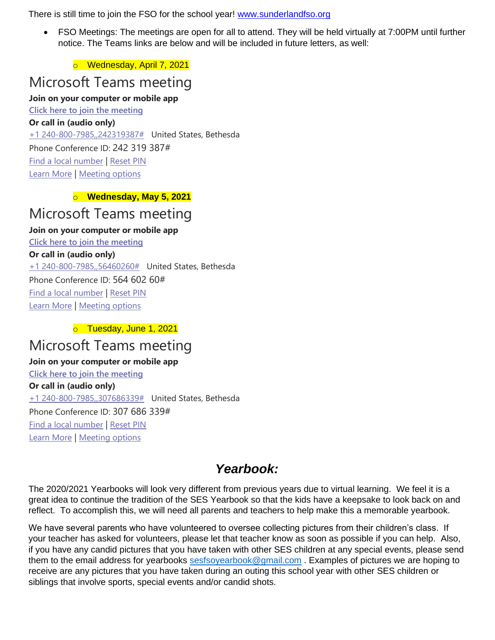There is still time to join the FSO for the school year! [www.sunderlandfso.org](https://nam02.safelinks.protection.outlook.com/?url=http%3A%2F%2Fwww.sunderlandfso.org%2F&data=04%7C01%7CKasulkeP%40calvertnet.k12.md.us%7C06c904ff24d14d2ad03908d8bee0fb37%7C022d9fca60a34aac9a90c18e51ac527e%7C0%7C0%7C637469220789384084%7CUnknown%7CTWFpbGZsb3d8eyJWIjoiMC4wLjAwMDAiLCJQIjoiV2luMzIiLCJBTiI6Ik1haWwiLCJXVCI6Mn0%3D%7C1000&sdata=3WYuf%2BALpQXsIJxNXbwCm49tbx%2BFQdvgAklmY%2F%2Fb1r8%3D&reserved=0)

• FSO Meetings: The meetings are open for all to attend. They will be held virtually at 7:00PM until further notice. The Teams links are below and will be included in future letters, as well:

o Wednesday, April 7, 2021

# Microsoft Teams meeting

#### **Join on your computer or mobile app**

**[Click here to join the meeting](https://teams.microsoft.com/l/meetup-join/19%3ameeting_MjIxZTNiMDYtYTRmZC00OThiLTkxOTItMzljMjU0MWY5ZGE5%40thread.v2/0?context=%7b%22Tid%22%3a%22022d9fca-60a3-4aac-9a90-c18e51ac527e%22%2c%22Oid%22%3a%2249a2b8d9-ffb0-4378-8eab-b96180abd1d7%22%7d)**

**Or call in (audio only)** [+1 240-800-7985,,242319387#](tel:+12408007985,,242319387# ) United States, Bethesda

Phone Conference ID: 242 319 387#

[Find a local number](https://dialin.teams.microsoft.com/76e85d79-b711-4fb2-8c7e-13d31296aeaf?id=242319387) | [Reset PIN](https://mysettings.lync.com/pstnconferencing)

[Learn More](https://aka.ms/JoinTeamsMeeting) | [Meeting options](https://teams.microsoft.com/meetingOptions/?organizerId=49a2b8d9-ffb0-4378-8eab-b96180abd1d7&tenantId=022d9fca-60a3-4aac-9a90-c18e51ac527e&threadId=19_meeting_MjIxZTNiMDYtYTRmZC00OThiLTkxOTItMzljMjU0MWY5ZGE5@thread.v2&messageId=0&language=en-US)

#### o **Wednesday, May 5, 2021**

# Microsoft Teams meeting

#### **Join on your computer or mobile app**

**[Click here to join the meeting](https://teams.microsoft.com/l/meetup-join/19%3ameeting_YjFhNzUzNTUtODlhZS00ZGM4LTkxMzctMDA0ZDg1MTgyMWY3%40thread.v2/0?context=%7b%22Tid%22%3a%22022d9fca-60a3-4aac-9a90-c18e51ac527e%22%2c%22Oid%22%3a%2249a2b8d9-ffb0-4378-8eab-b96180abd1d7%22%7d) Or call in (audio only)** [+1 240-800-7985,,56460260#](tel:+12408007985,,56460260# ) United States, Bethesda Phone Conference ID: 564 602 60# [Find a local number](https://dialin.teams.microsoft.com/76e85d79-b711-4fb2-8c7e-13d31296aeaf?id=56460260) | [Reset PIN](https://mysettings.lync.com/pstnconferencing)

[Learn More](https://aka.ms/JoinTeamsMeeting) | [Meeting options](https://teams.microsoft.com/meetingOptions/?organizerId=49a2b8d9-ffb0-4378-8eab-b96180abd1d7&tenantId=022d9fca-60a3-4aac-9a90-c18e51ac527e&threadId=19_meeting_YjFhNzUzNTUtODlhZS00ZGM4LTkxMzctMDA0ZDg1MTgyMWY3@thread.v2&messageId=0&language=en-US)

#### o Tuesday, June 1, 2021

# Microsoft Teams meeting

#### **Join on your computer or mobile app**

**[Click here to join the meeting](https://teams.microsoft.com/l/meetup-join/19%3ameeting_YTFhNWMzMDgtNWVhMi00NGJkLTlmYTMtNTBmMDI0YmRjZDRh%40thread.v2/0?context=%7b%22Tid%22%3a%22022d9fca-60a3-4aac-9a90-c18e51ac527e%22%2c%22Oid%22%3a%2249a2b8d9-ffb0-4378-8eab-b96180abd1d7%22%7d) Or call in (audio only)** [+1 240-800-7985,,307686339#](tel:+12408007985,,307686339# ) United States, Bethesda Phone Conference ID: 307 686 339# [Find a local number](https://dialin.teams.microsoft.com/76e85d79-b711-4fb2-8c7e-13d31296aeaf?id=307686339) | [Reset PIN](https://mysettings.lync.com/pstnconferencing) [Learn More](https://aka.ms/JoinTeamsMeeting) | [Meeting options](https://teams.microsoft.com/meetingOptions/?organizerId=49a2b8d9-ffb0-4378-8eab-b96180abd1d7&tenantId=022d9fca-60a3-4aac-9a90-c18e51ac527e&threadId=19_meeting_YTFhNWMzMDgtNWVhMi00NGJkLTlmYTMtNTBmMDI0YmRjZDRh@thread.v2&messageId=0&language=en-US)

## *Yearbook:*

The 2020/2021 Yearbooks will look very different from previous years due to virtual learning. We feel it is a great idea to continue the tradition of the SES Yearbook so that the kids have a keepsake to look back on and reflect. To accomplish this, we will need all parents and teachers to help make this a memorable yearbook.

We have several parents who have volunteered to oversee collecting pictures from their children's class. If your teacher has asked for volunteers, please let that teacher know as soon as possible if you can help. Also, if you have any candid pictures that you have taken with other SES children at any special events, please send them to the email address for yearbooks [sesfsoyearbook@gmail.com](mailto:sesfsoyearbook@gmail.com) . Examples of pictures we are hoping to receive are any pictures that you have taken during an outing this school year with other SES children or siblings that involve sports, special events and/or candid shots.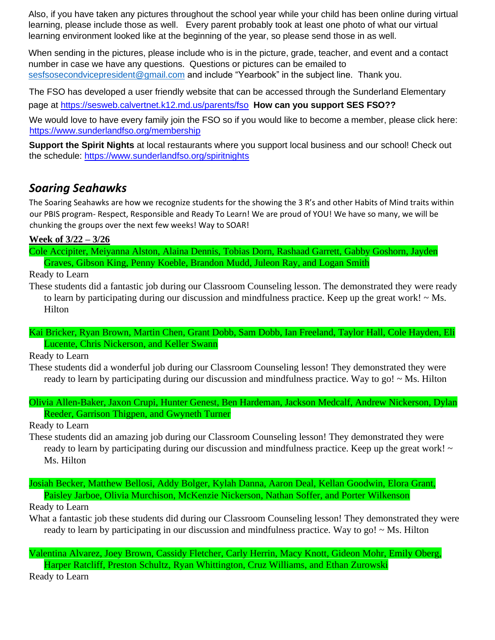Also, if you have taken any pictures throughout the school year while your child has been online during virtual learning, please include those as well. Every parent probably took at least one photo of what our virtual learning environment looked like at the beginning of the year, so please send those in as well.

When sending in the pictures, please include who is in the picture, grade, teacher, and event and a contact number in case we have any questions. Questions or pictures can be emailed to [sesfsosecondvicepresident@gmail.com](mailto:sesfsosecondvicepresident@gmail.com) and include "Yearbook" in the subject line. Thank you.

The FSO has developed a user friendly website that can be accessed through the Sunderland Elementary

page at<https://sesweb.calvertnet.k12.md.us/parents/fso> **[H](https://sesweb.calvertnet.k12.md.us/parents/fso)ow can you support SES FSO??** 

We would love to have every family join the FSO so if you would like to become a member, please click here: <https://www.sunderlandfso.org/membership>

**Support the Spirit Nights** at local restaurants where you support local business and our school! Check out the schedule:<https://www.sunderlandfso.org/spiritnights>

### *Soaring Seahawks*

The Soaring Seahawks are how we recognize students for the showing the 3 R's and other Habits of Mind traits within our PBIS program- Respect, Responsible and Ready To Learn! We are proud of YOU! We have so many, we will be chunking the groups over the next few weeks! Way to SOAR!

**Week of 3/22 – 3/26**

Cole Accipiter, Meiyanna Alston, Alaina Dennis, Tobias Dorn, Rashaad Garrett, Gabby Goshorn, Jayden Graves, Gibson King, Penny Koeble, Brandon Mudd, Juleon Ray, and Logan Smith

Ready to Learn

These students did a fantastic job during our Classroom Counseling lesson. The demonstrated they were ready to learn by participating during our discussion and mindfulness practice. Keep up the great work!  $\sim$  Ms. Hilton

Kai Bricker, Ryan Brown, Martin Chen, Grant Dobb, Sam Dobb, Ian Freeland, Taylor Hall, Cole Hayden, Eli Lucente, Chris Nickerson, and Keller Swann

Ready to Learn

These students did a wonderful job during our Classroom Counseling lesson! They demonstrated they were ready to learn by participating during our discussion and mindfulness practice. Way to go! ~ Ms. Hilton

Olivia Allen-Baker, Jaxon Crupi, Hunter Genest, Ben Hardeman, Jackson Medcalf, Andrew Nickerson, Dylan Reeder, Garrison Thigpen, and Gwyneth Turner

Ready to Learn

These students did an amazing job during our Classroom Counseling lesson! They demonstrated they were ready to learn by participating during our discussion and mindfulness practice. Keep up the great work! ~ Ms. Hilton

Josiah Becker, Matthew Bellosi, Addy Bolger, Kylah Danna, Aaron Deal, Kellan Goodwin, Elora Grant, Paisley Jarboe, Olivia Murchison, McKenzie Nickerson, Nathan Soffer, and Porter Wilkenson

Ready to Learn

What a fantastic job these students did during our Classroom Counseling lesson! They demonstrated they were ready to learn by participating in our discussion and mindfulness practice. Way to go!  $\sim$  Ms. Hilton

Valentina Alvarez, Joey Brown, Cassidy Fletcher, Carly Herrin, Macy Knott, Gideon Mohr, Emily Oberg, Harper Ratcliff, Preston Schultz, Ryan Whittington, Cruz Williams, and Ethan Zurowski

Ready to Learn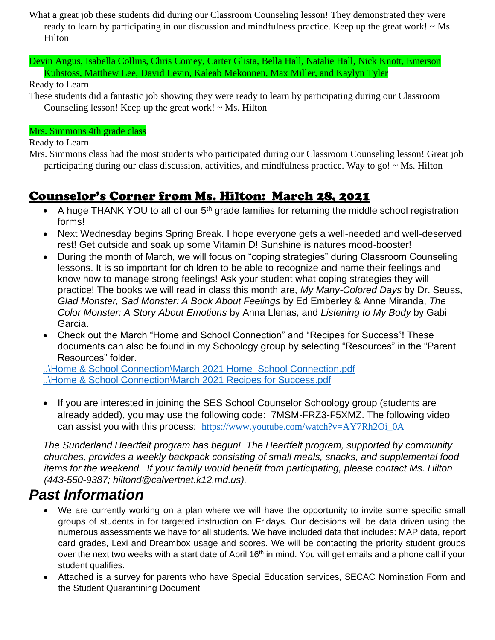- What a great job these students did during our Classroom Counseling lesson! They demonstrated they were ready to learn by participating in our discussion and mindfulness practice. Keep up the great work! ~ Ms. Hilton
- Devin Angus, Isabella Collins, Chris Comey, Carter Glista, Bella Hall, Natalie Hall, Nick Knott, Emerson Kuhstoss, Matthew Lee, David Levin, Kaleab Mekonnen, Max Miller, and Kaylyn Tyler

Ready to Learn

These students did a fantastic job showing they were ready to learn by participating during our Classroom Counseling lesson! Keep up the great work!  $\sim$  Ms. Hilton

#### Mrs. Simmons 4th grade class

Ready to Learn

Mrs. Simmons class had the most students who participated during our Classroom Counseling lesson! Great job participating during our class discussion, activities, and mindfulness practice. Way to go! ~ Ms. Hilton

# Counselor's Corner from Ms. Hilton: March 28, 2021

- A huge THANK YOU to all of our  $5<sup>th</sup>$  grade families for returning the middle school registration forms!
- Next Wednesday begins Spring Break. I hope everyone gets a well-needed and well-deserved rest! Get outside and soak up some Vitamin D! Sunshine is natures mood-booster!
- During the month of March, we will focus on "coping strategies" during Classroom Counseling lessons. It is so important for children to be able to recognize and name their feelings and know how to manage strong feelings! Ask your student what coping strategies they will practice! The books we will read in class this month are, *My Many-Colored Days* by Dr. Seuss, *Glad Monster, Sad Monster: A Book About Feelings* by Ed Emberley & Anne Miranda, *The Color Monster: A Story About Emotions* by Anna Llenas, and *Listening to My Body* by Gabi Garcia.
- Check out the March "Home and School Connection" and "Recipes for Success"! These documents can also be found in my Schoology group by selecting "Resources" in the "Parent Resources" folder.

[..\Home & School Connection\March 2021 Home School Connection.pdf](file:///C:/Users/hiltond/Documents/Home%20&%20School%20Connection/March%202021%20Home%20%20School%20Connection.pdf) [..\Home & School Connection\March 2021 Recipes for](file:///C:/Users/hiltond/Documents/Home%20&%20School%20Connection/March%202021%20Recipes%20for%20Success.pdf) Success.pdf

• If you are interested in joining the SES School Counselor Schoology group (students are already added), you may use the following code: 7MSM-FRZ3-F5XMZ. The following video can assist you with this process: [https://www.youtube.com/watch?v=AY7Rh2Oi\\_0A](https://nam02.safelinks.protection.outlook.com/?url=https%3A%2F%2Fwww.youtube.com%2Fwatch%3Fv%3DAY7Rh2Oi_0A&data=02%7C01%7Chiltond%40calvertnet.k12.md.us%7C5c552a6d21884304e66a08d8661f1dab%7C022d9fca60a34aac9a90c18e51ac527e%7C0%7C0%7C637371631107238187&sdata=bpLbkraUJqb%2FK3dKxzYSES6%2F02iDoam9HlzcVJ7DUtM%3D&reserved=0)

*The Sunderland Heartfelt program has begun! The Heartfelt program, supported by community churches, provides a weekly backpack consisting of small meals, snacks, and supplemental food items for the weekend. If your family would benefit from participating, please contact Ms. Hilton (443-550-9387; hiltond@calvertnet.k12.md.us).*

# *Past Information*

- We are currently working on a plan where we will have the opportunity to invite some specific small groups of students in for targeted instruction on Fridays. Our decisions will be data driven using the numerous assessments we have for all students. We have included data that includes: MAP data, report card grades, Lexi and Dreambox usage and scores. We will be contacting the priority student groups over the next two weeks with a start date of April 16<sup>th</sup> in mind. You will get emails and a phone call if your student qualifies.
- Attached is a survey for parents who have Special Education services, SECAC Nomination Form and the Student Quarantining Document